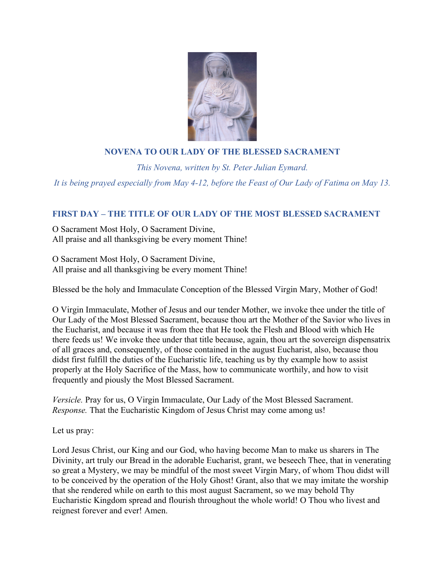

# **NOVENA TO OUR LADY OF THE BLESSED SACRAMENT**

*This Novena, written by St. Peter Julian Eymard. It is being prayed especially from May 4-12, before the Feast of Our Lady of Fatima on May 13.*

# **FIRST DAY – THE TITLE OF OUR LADY OF THE MOST BLESSED SACRAMENT**

O Sacrament Most Holy, O Sacrament Divine, All praise and all thanksgiving be every moment Thine!

O Sacrament Most Holy, O Sacrament Divine, All praise and all thanksgiving be every moment Thine!

Blessed be the holy and Immaculate Conception of the Blessed Virgin Mary, Mother of God!

O Virgin Immaculate, Mother of Jesus and our tender Mother, we invoke thee under the title of Our Lady of the Most Blessed Sacrament, because thou art the Mother of the Savior who lives in the Eucharist, and because it was from thee that He took the Flesh and Blood with which He there feeds us! We invoke thee under that title because, again, thou art the sovereign dispensatrix of all graces and, consequently, of those contained in the august Eucharist, also, because thou didst first fulfill the duties of the Eucharistic life, teaching us by thy example how to assist properly at the Holy Sacrifice of the Mass, how to communicate worthily, and how to visit frequently and piously the Most Blessed Sacrament.

*Versicle.* Pray for us, O Virgin Immaculate, Our Lady of the Most Blessed Sacrament. *Response.* That the Eucharistic Kingdom of Jesus Christ may come among us!

Let us pray:

Lord Jesus Christ, our King and our God, who having become Man to make us sharers in The Divinity, art truly our Bread in the adorable Eucharist, grant, we beseech Thee, that in venerating so great a Mystery, we may be mindful of the most sweet Virgin Mary, of whom Thou didst will to be conceived by the operation of the Holy Ghost! Grant, also that we may imitate the worship that she rendered while on earth to this most august Sacrament, so we may behold Thy Eucharistic Kingdom spread and flourish throughout the whole world! O Thou who livest and reignest forever and ever! Amen.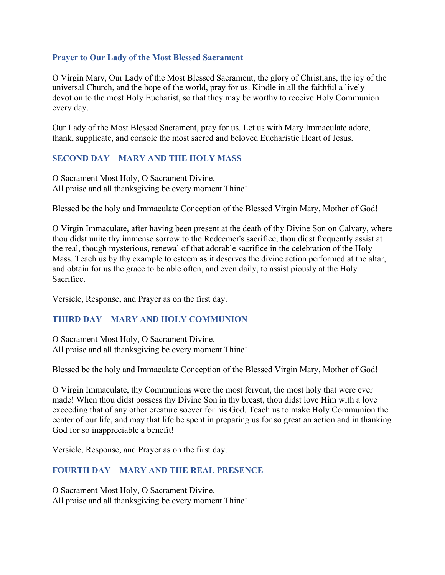#### **Prayer to Our Lady of the Most Blessed Sacrament**

O Virgin Mary, Our Lady of the Most Blessed Sacrament, the glory of Christians, the joy of the universal Church, and the hope of the world, pray for us. Kindle in all the faithful a lively devotion to the most Holy Eucharist, so that they may be worthy to receive Holy Communion every day.

Our Lady of the Most Blessed Sacrament, pray for us. Let us with Mary Immaculate adore, thank, supplicate, and console the most sacred and beloved Eucharistic Heart of Jesus.

### **SECOND DAY – MARY AND THE HOLY MASS**

O Sacrament Most Holy, O Sacrament Divine, All praise and all thanksgiving be every moment Thine!

Blessed be the holy and Immaculate Conception of the Blessed Virgin Mary, Mother of God!

O Virgin Immaculate, after having been present at the death of thy Divine Son on Calvary, where thou didst unite thy immense sorrow to the Redeemer's sacrifice, thou didst frequently assist at the real, though mysterious, renewal of that adorable sacrifice in the celebration of the Holy Mass. Teach us by thy example to esteem as it deserves the divine action performed at the altar, and obtain for us the grace to be able often, and even daily, to assist piously at the Holy Sacrifice.

Versicle, Response, and Prayer as on the first day.

#### **THIRD DAY – MARY AND HOLY COMMUNION**

O Sacrament Most Holy, O Sacrament Divine, All praise and all thanksgiving be every moment Thine!

Blessed be the holy and Immaculate Conception of the Blessed Virgin Mary, Mother of God!

O Virgin Immaculate, thy Communions were the most fervent, the most holy that were ever made! When thou didst possess thy Divine Son in thy breast, thou didst love Him with a love exceeding that of any other creature soever for his God. Teach us to make Holy Communion the center of our life, and may that life be spent in preparing us for so great an action and in thanking God for so inappreciable a benefit!

Versicle, Response, and Prayer as on the first day.

# **FOURTH DAY – MARY AND THE REAL PRESENCE**

O Sacrament Most Holy, O Sacrament Divine, All praise and all thanksgiving be every moment Thine!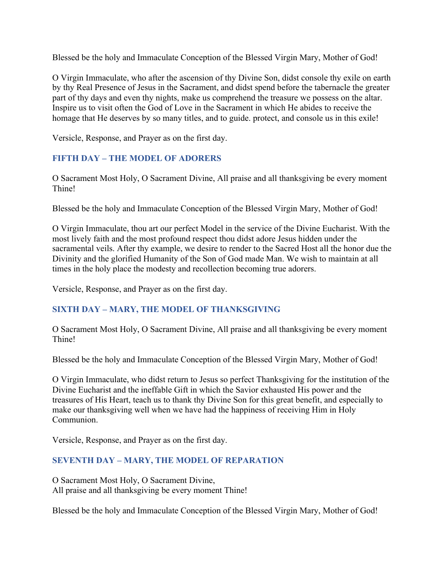Blessed be the holy and Immaculate Conception of the Blessed Virgin Mary, Mother of God!

O Virgin Immaculate, who after the ascension of thy Divine Son, didst console thy exile on earth by thy Real Presence of Jesus in the Sacrament, and didst spend before the tabernacle the greater part of thy days and even thy nights, make us comprehend the treasure we possess on the altar. Inspire us to visit often the God of Love in the Sacrament in which He abides to receive the homage that He deserves by so many titles, and to guide. protect, and console us in this exile!

Versicle, Response, and Prayer as on the first day.

### **FIFTH DAY – THE MODEL OF ADORERS**

O Sacrament Most Holy, O Sacrament Divine, All praise and all thanksgiving be every moment Thine!

Blessed be the holy and Immaculate Conception of the Blessed Virgin Mary, Mother of God!

O Virgin Immaculate, thou art our perfect Model in the service of the Divine Eucharist. With the most lively faith and the most profound respect thou didst adore Jesus hidden under the sacramental veils. After thy example, we desire to render to the Sacred Host all the honor due the Divinity and the glorified Humanity of the Son of God made Man. We wish to maintain at all times in the holy place the modesty and recollection becoming true adorers.

Versicle, Response, and Prayer as on the first day.

#### **SIXTH DAY – MARY, THE MODEL OF THANKSGIVING**

O Sacrament Most Holy, O Sacrament Divine, All praise and all thanksgiving be every moment Thine!

Blessed be the holy and Immaculate Conception of the Blessed Virgin Mary, Mother of God!

O Virgin Immaculate, who didst return to Jesus so perfect Thanksgiving for the institution of the Divine Eucharist and the ineffable Gift in which the Savior exhausted His power and the treasures of His Heart, teach us to thank thy Divine Son for this great benefit, and especially to make our thanksgiving well when we have had the happiness of receiving Him in Holy Communion.

Versicle, Response, and Prayer as on the first day.

# **SEVENTH DAY – MARY, THE MODEL OF REPARATION**

O Sacrament Most Holy, O Sacrament Divine, All praise and all thanksgiving be every moment Thine!

Blessed be the holy and Immaculate Conception of the Blessed Virgin Mary, Mother of God!